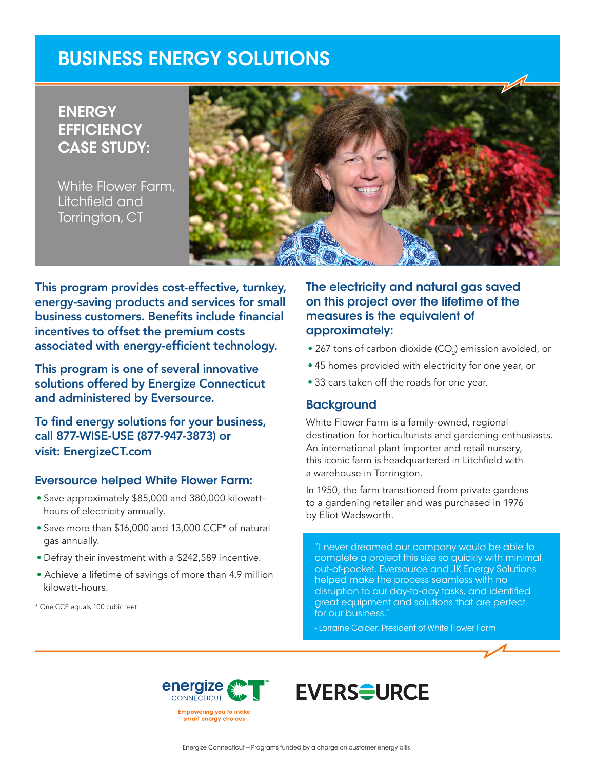# BUSINESS ENERGY SOLUTIONS

**ENERGY EFFICIENCY** CASE STUDY:

White Flower Farm, Litchfield and Torrington, CT



This program provides cost-effective, turnkey, energy-saving products and services for small business customers. Benefits include financial incentives to offset the premium costs associated with energy-efficient technology.

This program is one of several innovative solutions offered by Energize Connecticut and administered by Eversource.

To find energy solutions for your business, call 877-WISE-USE (877-947-3873) or visit: EnergizeCT.com

#### Eversource helped White Flower Farm:

- Save approximately \$85,000 and 380,000 kilowatthours of electricity annually.
- Save more than \$16,000 and 13,000 CCF\* of natural gas annually.
- Defray their investment with a \$242,589 incentive.
- Achieve a lifetime of savings of more than 4.9 million kilowatt-hours.

\* One CCF equals 100 cubic feet

## The electricity and natural gas saved on this project over the lifetime of the measures is the equivalent of approximately:

- $\bullet$  267 tons of carbon dioxide (CO $_2$ ) emission avoided, or
- 45 homes provided with electricity for one year, or
- 33 cars taken off the roads for one year.

#### **Background**

White Flower Farm is a family-owned, regional destination for horticulturists and gardening enthusiasts. An international plant importer and retail nursery, this iconic farm is headquartered in Litchfield with a warehouse in Torrington.

In 1950, the farm transitioned from private gardens to a gardening retailer and was purchased in 1976 by Eliot Wadsworth.

"I never dreamed our company would be able to complete a project this size so quickly with minimal out-of-pocket. Eversource and JK Energy Solutions helped make the process seamless with no disruption to our day-to-day tasks, and identified great equipment and solutions that are perfect for our business."

- Lorraine Calder, President of White Flower Farm